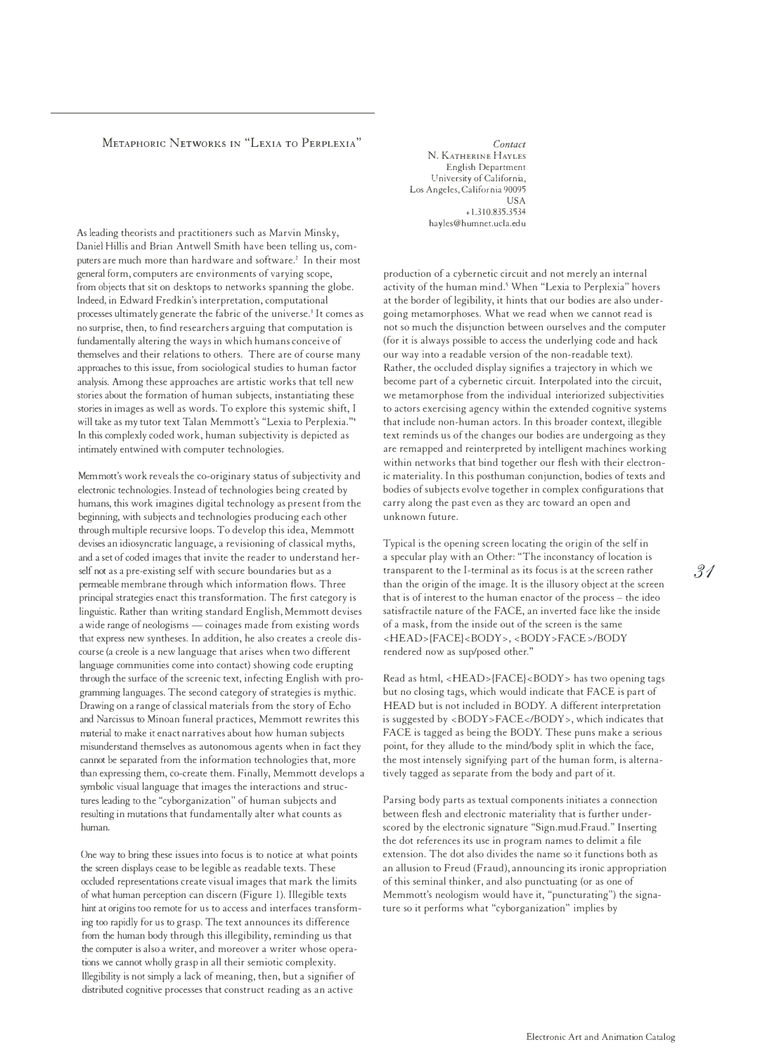## **METAPHORIC NETWORKS IN "LEXIA TO PERPLEXIA"**

As leading theorists and practitioners such as Marvin Minsky, Daniel Hillis and Brian Antwell Smith have been telling us, computers are much more than hardware and software.' In their most general form, computers are environments of varying scope, from objects that sit on desktops to networks spanning the globe. Indeed, in Edward Fredkin's interpretation, computational processes ultimately generate the fabric of the universe.' It comes as no surprise, then, to find researchers arguing that computation is fundamentally altering the ways in which humans conceive of themselves and their relations to others. There are of course many approaches to this issue, from sociological studies to human factor analysis. Among these approaches are artistic works that tell new stories about the formation of human subjects, instantiating these stories in images as well as words. To explore this systemic shift, I will take as my tutor text Talan Memmott's "Lexia to Perplexia."' In this complexly coded work, human subjectivity is depicted as intimately entwined with computer technologies.

Memmott's work reveals the co-originary status of subjectivity and electronic technologies. Instead of technologies being created by humans, this work imagines digital technology as present from the beginning, with subjects and technologies producing each other through multiple recursive loops. To develop this idea, Memmott devises an idiosyncratic language, a revisioning of classical myths, and a set of coded images that invite the reader to understand herself not as a pre-existing self with secure boundaries but as a permeable membrane through which information flows. Three principal strategies enact this transformation. The first category is linguistic. Rather than writing standard English, Memmott devises a wide range of neologisms - coinages made from existing words that express new syntheses. In addition, he also creates a creole discourse (a creole is a new language that arises when two different language communities come into contact) showing code erupting through the surface of the screenic text, infecting English with programming languages. The second category of strategies is mythic. Drawing on a range of classical materials from the story of Echo and Narcissus to Minoan funeral practices, Memmott rewrites this material to make it enact narratives about how human subjects misunderstand themselves as autonomous agents when in fact they cannot be separated from the information technologies that, more than expressing them, co-create them. Finally, Memmott develops a symbolic visual language that images the interactions and structures leading to the "cyborganization" of human subjects and resulting in mutations that fundamentally alter what counts as human.

One way to bring these issues into focus is to notice at what points the screen displays cease to be legible as readable texts. These occluded representations create visual images that mark the limits of what human perception can discern (Figure !). Illegible texts hint at origins too remote for us to access and interfaces transforming too rapidly for us to grasp. The text announces its difference from the human body through this illegibility, reminding us that the computer is also a writer, and moreover a writer whose operations we cannot wholly grasp in all their semiotic complexity. Illegibility is not simply a lack of meaning, then, but a signifier of distributed cognitive processes that construct reading as an active

*Contact*  N. KATHERINE HAYLES English Department University of California, Los Angeles, California 90095 USA + 1.310.835.3534 hayles@humnet.ucla.edu

production of a cybernetic circuit and not merely an internal activity of the human mind.' When "Lexia to Perplexia" hovers at the border of legibility, it hints that our bodies are also undergoing metamorphoses. What we read when we cannot read is not so much the disjunction between ourselves and the computer (for it is always possible to access the underlying code and hack our way into a readable version of the non-readable text). Rather, the occluded display signifies a trajectory in which we become part of a cybernetic circuit. Interpolated into the circuit, we metamorphose from the individual interiorized subjectivities to actors exercising agency within the extended cognitive systems that include non-human actors. In this broader context, illegible text reminds us of the changes our bodies are undergoing as they are remapped and reinterpreted by intelligent machines working within networks that bind together our flesh with their electronic materiality. In this posthuman conjunction, bodies of texts and bodies of subjects evolve together in complex configurations that carry along the past even as they arc toward an open and unknown future.

Typical is the opening screen locating the origin of the self in a specular play with an Other: "The inconstancy of location is transparent to the I-terminal as its focus is at the screen rather than the origin of the image. It is the illusory object at the screen that is of interest to the human enactor of the process – the ideo satisfractile nature of the FACE, an inverted face like the inside of a mask, from the inside out of the screen is the same <HEAD>{FACE}<BODY>, <BODY>FACE>/BODY rendered now as sup/posed other."

Read as html, <HEAD>{FACE}<BODY > has two opening tags but no closing tags, which would indicate that FACE is part of HEAD but is not included in BODY. A different interpretation is suggested by <BODY>FACE</BODY>, which indicates that FACE is tagged as being the BODY. These puns make a serious point, for they allude to the mind/body split in which the face, the most intensely signifying part of the human form, is alternatively tagged as separate from the body and part of it.

Parsing body parts as textual components initiates a connection between flesh and electronic materiality that is further underscored by the electronic signature "Sign.mud.Fraud." Inserting the dot references its use in program names to delimit a file extension. The dot also divides the name so it functions both as an allusion to Freud (Fraud), announcing its ironic appropriation of this seminal thinker, and also punctuating (or as one of Memmott's neologism would have it, "puncturating") the signature so it performs what "cyborganization" implies by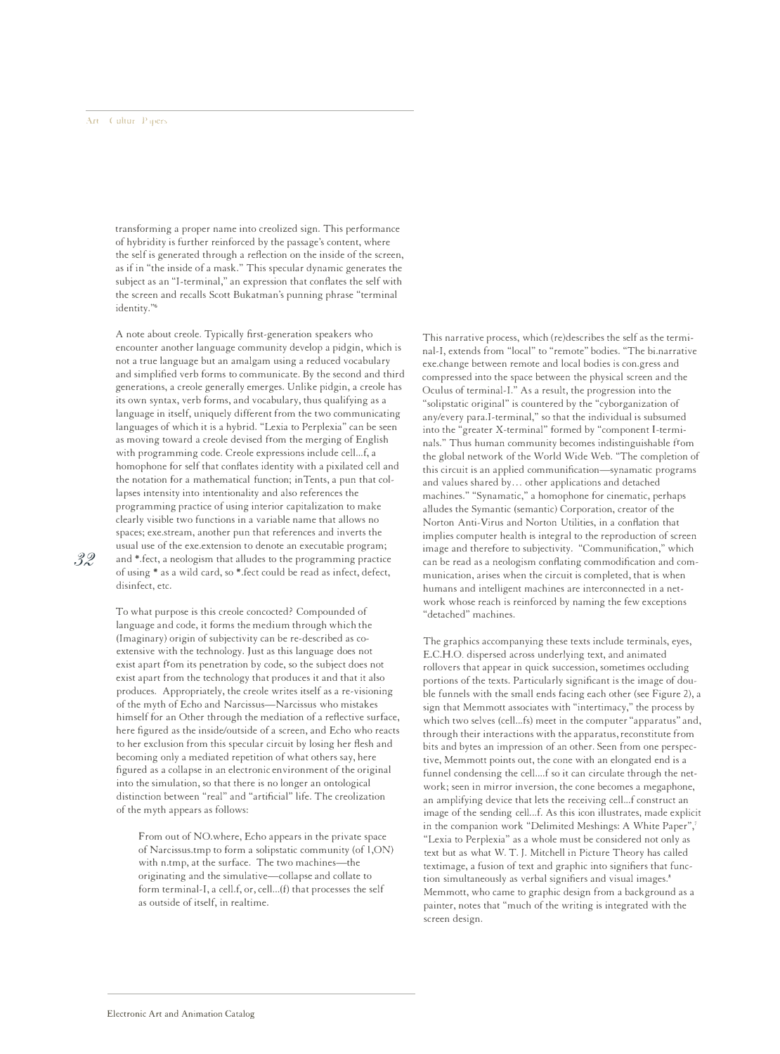transforming a proper name into creolized sign. This performance of hybridity is further reinforced by the passage's content, where the self is generated through a reflection on the inside of the screen, as if in "the inside of a mask." This specular dynamic generates the subject as an "I-terminal," an expression that conflates the self with the screen and recalls Scott Bukatman's punning phrase "terminal identity."'

A note about creole. Typically first-generation speakers who encounter another language community develop a pidgin, which is not a true language but an amalgam using a reduced vocabulary and simplified verb forms to communicate. By the second and third generations, a creole generally emerges. Unlike pidgin, a creole has its own syntax, verb forms, and vocabulary, thus qualifying as a language in itself, uniquely different from the two communicating languages of which it is a hybrid. "Lexia to Perplexia" can be seen as moving toward a creole devised from the merging of English with programming code. Creole expressions include cell...f, a homophone for self that conflates identity with a pixilated cell and the notation for a mathematical function; in Tents, a pun that collapses intensity into intentionality and also references the programming practice of using interior capitalization to make clearly visible two functions in a variable name that allows no spaces; exe.stream, another pun that references and inverts the usual use of the exe.extension to denote an executable program; and \*.feet, a neologism that alludes to the programming practice of using" as a wild card, so \*.feet could be read as infect, defect, disinfect, etc.

To what purpose is this creole concocted? Compounded of language and code, it forms the medium through which the (Imaginary) origin of subjectivity can be re-described as coextensive with the technology. Just as this language does not exist apart from its penetration by code, so the subject does not exist apart from the technology that produces it and that it also produces. Appropriately, the creole writes itself as a re-visioning of the myth of Echo and Narcissus-Narcissus who mistakes himself for an Other through the mediation of a reflective surface, here figured as the inside/outside of a screen, and Echo who reacts to her exclusion from this specular circuit by losing her flesh and becoming only a mediated repetition of what others say, here figured as a collapse in an electronic environment of the original into the simulation, so that there is no longer an ontological distinction between "real" and "artificial" life. The creolization of the myth appears as follows:

From out of NO.where, Echo appears in the private space of Narcissus.tmp to form a solipstatic community (of !,ON) with n.tmp, at the surface. The two machines-the originating and the simulative--collapse and collate to form terminal-I, a cell.f, or, cell... $(f)$  that processes the self as outside of itself, in realtime.

This narrative process, which (re)describes the self as the terminal-I, extends from "local" to "remote" bodies. "The bi.narrative exe.change between remote and local bodies is con.gress and compressed into the space between the physical screen and the Oculus of terminal-I." As a result, the progression into the "solipstatic original" is countered by the "cyborganization of any/every para.I-terminal," so that the individual is subsumed into the "greater X-terminal" formed by "component I-terminals." Thus human community becomes indistinguishable from the global network of the World Wide Web. "The completion of this circuit is an applied communification—synamatic programs and values shared by ... other applications and detached machines." "Synamatic," a homophone for cinematic, perhaps alludes the Symantic (semantic) Corporation, creator of the Norton Anti-Virus and Norton Utilities, in a conflation that implies computer health is integral to the reproduction of screen image and therefore to subjectivity. "Communification," which can be read as a neologism conflating commodification and communication, arises when the circuit is completed, that is when humans and intelligent machines are interconnected in a network whose reach is reinforced by naming the few exceptions "detached" machines.

The graphics accompanying these texts include terminals, eyes, E.C.H.O. dispersed across underlying text, and animated rollovers that appear in quick succession, sometimes occluding portions of the texts. Particularly significant is the image of double funnels with the small ends facing each other (see Figure 2), a sign that Memmott associates with "intertimacy," the process by which two selves (cell...fs) meet in the computer "apparatus" and, through their interactions with the apparatus, reconstitute from bits and bytes an impression of an other. Seen from one perspective, Memmott points out, the cone with an elongated end is a funnel condensing the cell....f so it can circulate through the network; seen in mirror inversion, the cone becomes a megaphone, an amplifying device that lets the receiving cell...f construct an image of the sending cell...f. As this icon illustrates, made explicit in the companion work "Delimited Meshings: A White Paper",' "Lexia to Perplexia" as a whole must be considered not only as text but as what W. T. J. Mitchell in Picture Theory has called textimage, a fusion of text and graphic into signifiers that function simultaneously as verbal signifiers and visual images.' Memmott, who came to graphic design from a background as a painter, notes that "much of the writing is integrated with the screen design.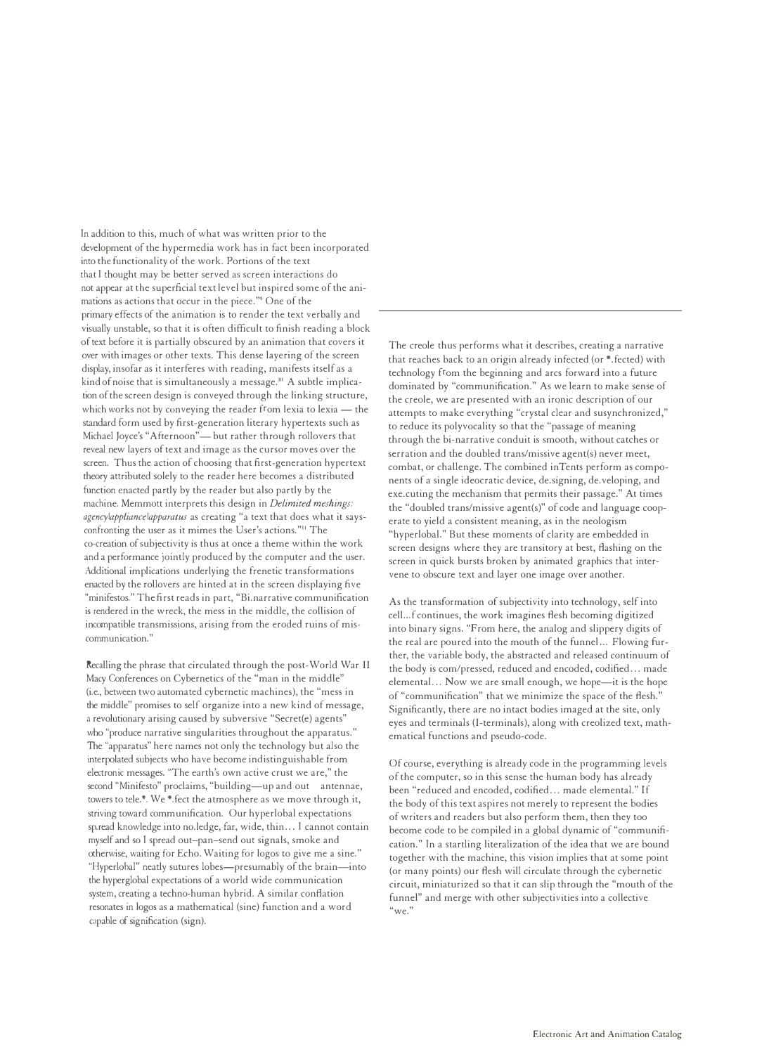In addition to this, much of what was written prior to the development of the hypermedia work has in fact been incorporated into the functionality of the work. Portions of the text that I thought may be better served as screen interactions do not appear at the superficial text level but inspired some of the animations as actions that occur in the piece."' One of the primary effects of the animation is to render the text verbally and visually unstable, so that it is often difficult to finish reading a block of text before it is partially obscured by an animation that covers it over with images or other texts. This dense layering of the screen display, insofar as it interferes with reading, manifests itself as a kind of noise that is simultaneously a message.'° A subtle implication of the screen design is conveyed through the linking structure, which works not by conveying the reader from lexia to lexia - the standard form used by first-generation literary hypertexts such as Michael Joyce's "Afternoon"- but rather through rollovers that reveal new layers of text and image as the cursor moves over the screen. Thus the action of choosing that first-generation hypertext theory attributed solely to the reader here becomes a distributed function enacted partly by the reader but also partly by the machine. Memmott interprets this design in *Delimited meshings: agencylappliancelapparatus* as creating "a text that does what it saysconfronting the user as it mimes the User's actions."" The co-creation of subjectivity is thus at once a theme within the work and a performance jointly produced by the computer and the user. Additional implications underlying the frenetic transformations enacted by the rollovers are hinted at in the screen displaying five "minifestos." The first reads in part, "Bi.narrative communification is rendered in the wreck, the mess in the middle, the collision of incompatible transmissions, arising from the eroded ruins of miscommunication."

Recalling the phrase that circulated through the post-World War II Macy Conferences on Cybernetics of the "man in the middle" (i.e., between two automated cybernetic machines), the "mess in the middle" promises to self organize into a new kind of message, a revolutionary arising caused by subversive "Secret(e) agents" who "produce narrative singularities throughout the apparatus." The "apparatus" here names not only the technology but also the interpolated subjects who have become indistinguishable from electronic messages. "The earth's own active crust we are," the second "Minifesto" proclaims, "building-up and out antennae, towers to tele.\*. We \*.fect the atmosphere as we move through it, striving toward communification. Our hyperlobal expectations sp.read knowledge into no.ledge, far, wide, thin ... I cannot contain myself and so I spread out-pan-send out signals, smoke and otherwise, waiting for Echo. Waiting for logos to give me a sine." "Hyperlobal" neatly sutures lobes—presumably of the brain—into the hyperglobal expectations of a world wide communication system, creating a techno-human hybrid. A similar conflation resonates in logos as a mathematical (sine) function and a word capable of signification (sign).

The creole thus performs what it describes, creating a narrative that reaches back to an origin already infected (or \*.fected) with technology from the beginning and arcs forward into a future dominated by "communification." As we learn to make sense of the creole, we are presented with an ironic description of our attempts to make everything "crystal clear and susynchronized," to reduce its polyvocality so that the "passage of meaning through the bi-narrative conduit is smooth, without catches or serration and the doubled trans/missive agent(s) never meet, combat, or challenge. The combined in Tents perform as components of a single ideocratic device, de.signing, de.veloping, and exe.cuting the mechanism that permits their passage." At times the "doubled trans/missive agent(s)" of code and language cooperate to yield a consistent meaning, as in the neologism "hyperlobal." But these moments of clarity are embedded in screen designs where they are transitory at best, flashing on the screen in quick bursts broken by animated graphics that intervene to obscure text and layer one image over another.

As the transformation of subjectivity into technology, self into cell...f continues, the work imagines flesh becoming digitized into binary signs. "From here, the analog and slippery digits of the real are poured into the mouth of the funnel ... Flowing further, the variable body, the abstracted and released continuum of the body is com/pressed, reduced and encoded, codified ... made elemental... Now we are small enough, we hope-it is the hope of "communification" that we minimize the space of the flesh." Significantly, there are no intact bodies imaged at the site, only eyes and terminals (I-terminals), along with creolized text, mathematical functions and pseudo-code.

Of course, everything is already code in the programming levels of the computer, so in this sense the human body has already been "reduced and encoded, codified ... made elemental." If the body of this text aspires not merely to represent the bodies of writers and readers but also perform them, then they too become code to be compiled in a global dynamic of "communification." In a startling literalization of the idea that we are bound together with the machine, this vision implies that at some point (or many points) our flesh will circulate through the cybernetic circuit, miniaturized so that it can slip through the "mouth of the funnel" and merge with other subjectivities into a collective uwe."